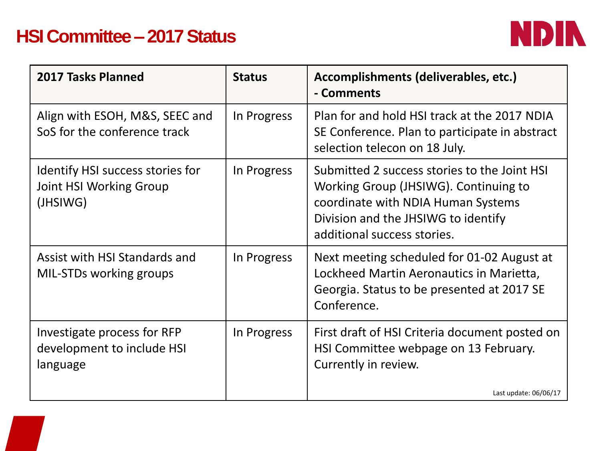## **HSI Committee – 2017 Status**



| In Progress |                                                                                                                                                                                                   |
|-------------|---------------------------------------------------------------------------------------------------------------------------------------------------------------------------------------------------|
|             | Plan for and hold HSI track at the 2017 NDIA<br>SE Conference. Plan to participate in abstract<br>selection telecon on 18 July.                                                                   |
| In Progress | Submitted 2 success stories to the Joint HSI<br>Working Group (JHSIWG). Continuing to<br>coordinate with NDIA Human Systems<br>Division and the JHSIWG to identify<br>additional success stories. |
| In Progress | Next meeting scheduled for 01-02 August at<br>Lockheed Martin Aeronautics in Marietta,<br>Georgia. Status to be presented at 2017 SE<br>Conference.                                               |
| In Progress | First draft of HSI Criteria document posted on<br>HSI Committee webpage on 13 February.<br>Currently in review.<br>Last update: $06/06/17$                                                        |
|             |                                                                                                                                                                                                   |